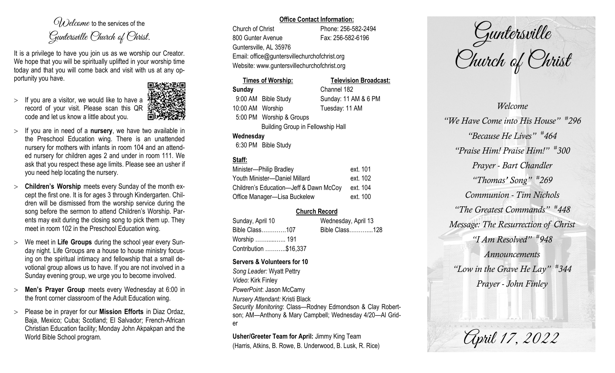$O(\lambda)$  elcame to the services of the Guntersville Church of Christ.

It is a privilege to have you join us as we worship our Creator. We hope that you will be spiritually uplifted in your worship time today and that you will come back and visit with us at any opportunity you have.

 $>$  If you are a visitor, we would like to have a record of your visit. Please scan this QR code and let us know a little about you.



- If you are in need of a **nursery**, we have two available in the Preschool Education wing. There is an unattended nursery for mothers with infants in room 104 and an attended nursery for children ages 2 and under in room 111. We ask that you respect these age limits. Please see an usher if you need help locating the nursery.
- **Children's Worship** meets every Sunday of the month except the first one. It is for ages 3 through Kindergarten. Children will be dismissed from the worship service during the song before the sermon to attend Children's Worship. Parents may exit during the closing song to pick them up. They meet in room 102 in the Preschool Education wing.
- We meet in **Life Groups** during the school year every Sunday night. Life Groups are a house to house ministry focusing on the spiritual intimacy and fellowship that a small devotional group allows us to have. If you are not involved in a Sunday evening group, we urge you to become involved.
- **Men's Prayer Group** meets every Wednesday at 6:00 in the front corner classroom of the Adult Education wing.
- Please be in prayer for our **Mission Efforts** in Diaz Ordaz, Baja, Mexico; Cuba; Scotland; El Salvador; French-African Christian Education facility; Monday John Akpakpan and the World Bible School program.

#### **Office Contact Information:**

Church of Christ Phone: 256-582-2494 800 Gunter Avenue Fax: 256-582-6196 Guntersville, AL 35976 Email: office@guntersvillechurchofchrist.org Website: www.guntersvillechurchofchrist.org

# **Times of Worship: Television Broadcast: Sunday** Channel 182 10:00 AM Worship Tuesday: 11 AM 5:00 PM Worship & Groups

9:00 AM Bible Study Sunday: 11 AM & 6 PM

Building Group in Fellowship Hall

## **Wednesday**

6:30 PM Bible Study

# **Staff:**

| Minister-Philip Bradley                | ext. 101 |
|----------------------------------------|----------|
| Youth Minister-Daniel Millard          | ext. 102 |
| Children's Education-Jeff & Dawn McCoy | ext. 104 |
| Office Manager-Lisa Buckelew           | ext. 100 |

# **Church Record**

| Sunday, April 10      |  | Wednesday, April 13 |  |
|-----------------------|--|---------------------|--|
| Bible Class107        |  | Bible Class128      |  |
| Worship  191          |  |                     |  |
| Contribution \$16,337 |  |                     |  |

### **Servers & Volunteers for 10**

*Song Leader:* Wyatt Pettry *Video*: Kirk Finley *PowerPoint*: Jason McCamy *Nursery Attendant:* Kristi Black *Security Monitoring*: Class—Rodney Edmondson & Clay Robertson; AM—Anthony & Mary Campbell; Wednesday 4/20—Al Grider

**Usher/Greeter Team for April:** Jimmy King Team (Harris, Atkins, B. Rowe, B. Underwood, B. Lusk, R. Rice)

Guntersville Church of Christ

*Welcome "We Have Come into His House" # 296 "Because He Lives" # 464 "Praise Him! Praise Him!" # 300 Prayer - Bart Chandler "Thomas' Song" # 269 Communion - Tim Nichols "The Greatest Commands" # 448 Message: The Resurrection of Christ "I Am Resolved" # 948 Announcements "Low in the Grave He Lay" # 344 Prayer - John Finley* 

April 17, 2022